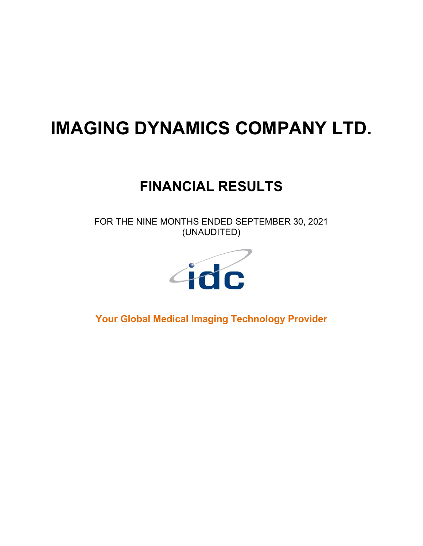# **IMAGING DYNAMICS COMPANY LTD.**

# **FINANCIAL RESULTS**

FOR THE NINE MONTHS ENDED SEPTEMBER 30, 2021 (UNAUDITED)



**Your Global Medical Imaging Technology Provider**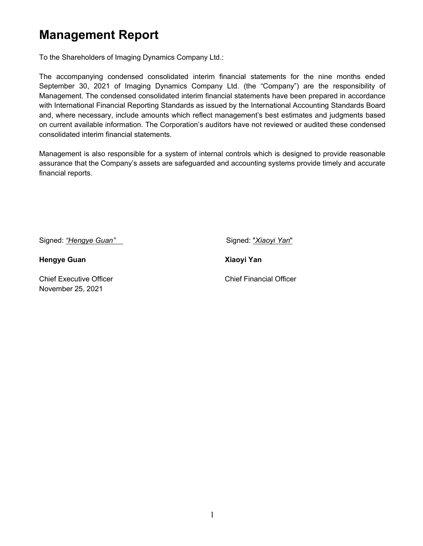# **Management Report**

To the Shareholders of Imaging Dynamics Company Ltd.:

The accompanying condensed consolidated interim financial statements for the nine months ended September 30, 2021 of Imaging Dynamics Company Ltd. (the "Company") are the responsibility of Management. The condensed consolidated interim financial statements have been prepared in accordance with International Financial Reporting Standards as issued by the International Accounting Standards Board and, where necessary, include amounts which reflect management's best estimates and judgments based on current available information. The Corporation's auditors have not reviewed or audited these condensed consolidated interim financial statements.

Management is also responsible for a system of internal controls which is designed to provide reasonable assurance that the Company's assets are safeguarded and accounting systems provide timely and accurate financial reports.

Signed: *"Hengye Guan"* **Signed:** "*Xiaoyi Yan*"

**Hengye Guan Xiaoyi Yan** 

Chief Executive Officer Chief Financial Officer November 25, 2021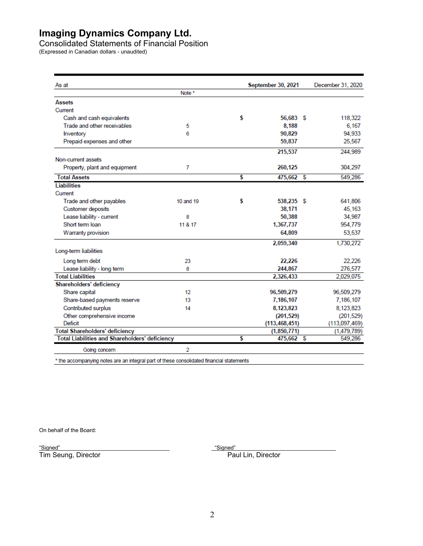Consolidated Statements of Financial Position

(Expressed in Canadian dollars - unaudited)

| As at                                                 |           | September 30, 2021 |   | December 31, 2020 |
|-------------------------------------------------------|-----------|--------------------|---|-------------------|
|                                                       | Note *    |                    |   |                   |
| <b>Assets</b>                                         |           |                    |   |                   |
| Current                                               |           |                    |   |                   |
| Cash and cash equivalents                             |           | \$<br>56,683 \$    |   | 118,322           |
| Trade and other receivables                           | 5         | 8,188              |   | 6.167             |
| Inventory                                             | 6         | 90.829             |   | 94.933            |
| Prepaid expenses and other                            |           | 59,837             |   | 25,567            |
|                                                       |           | 215.537            |   | 244.989           |
| Non-current assets                                    |           |                    |   |                   |
| Property, plant and equipment                         | 7         | 260,125            |   | 304,297           |
| <b>Total Assets</b>                                   |           | \$<br>475,662      | S | 549,286           |
| <b>Liabilities</b>                                    |           |                    |   |                   |
| Current                                               |           |                    |   |                   |
| Trade and other payables                              | 10 and 19 | \$<br>538,235 \$   |   | 641,806           |
| Customer deposits                                     |           | 38,171             |   | 45,163            |
| Lease liability - current                             | 8         | 50,388             |   | 34,987            |
| Short term loan                                       | 11 & 17   | 1.367.737          |   | 954,779           |
| Warranty provision                                    |           | 64.809             |   | 53,537            |
|                                                       |           | 2,059,340          |   | 1,730,272         |
| Long-term liabilities                                 |           |                    |   |                   |
| Long term debt                                        | 23        | 22,226             |   | 22,226            |
| Lease liability - long term                           | 8         | 244,867            |   | 276,577           |
| <b>Total Liabilities</b>                              |           | 2,326,433          |   | 2,029,075         |
| Shareholders' deficiency                              |           |                    |   |                   |
| Share capital                                         | 12        | 96,509,279         |   | 96,509,279        |
| Share-based payments reserve                          | 13        | 7,186,107          |   | 7,186,107         |
| Contributed surplus                                   | 14        | 8,123,823          |   | 8,123,823         |
| Other comprehensive income                            |           | (201, 529)         |   | (201, 529)        |
| Deficit                                               |           | (113, 468, 451)    |   | (113,097,469)     |
| <b>Total Shareholders' deficiency</b>                 |           | (1,850,771)        |   | (1,479,789)       |
| <b>Total Liabilities and Shareholders' deficiency</b> |           | \$<br>475,662      | S | 549,286           |
| Going concern                                         | 2         |                    |   |                   |

\* the accompanying notes are an integral part of these consolidated financial statements

On behalf of the Board:

"Signed"<br>Tim Seung, Director

<u>"Signed"</u><br>Paul Lin, Director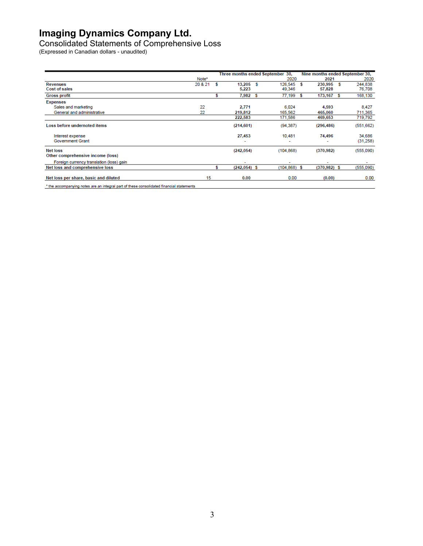Consolidated Statements of Comprehensive Loss

(Expressed in Canadian dollars - unaudited)

|                                                                                                 |         |                          | Three months ended September 30, |   | Nine months ended September 30, |   |           |  |
|-------------------------------------------------------------------------------------------------|---------|--------------------------|----------------------------------|---|---------------------------------|---|-----------|--|
|                                                                                                 | Note*   |                          | 2020                             |   | 2021                            |   | 2020      |  |
| Revenues                                                                                        | 20 & 21 | 13.205 S                 | 126.545                          | Ŝ | 230,995 S                       |   | 244,838   |  |
| Cost of sales                                                                                   |         | 5,223                    | 49,346                           |   | 57,828                          |   | 76,708    |  |
| <b>Gross profit</b>                                                                             |         | 7,982 S                  | 77,199                           |   | 173,167                         | s | 168,130   |  |
| <b>Expenses</b>                                                                                 |         |                          |                                  |   |                                 |   |           |  |
| Sales and marketing                                                                             | 22      | 2,771                    | 6,024                            |   | 4.593                           |   | 8,427     |  |
| General and administrative                                                                      | 22      | 219,812                  | 165,562                          |   | 465,060                         |   | 711,365   |  |
|                                                                                                 |         | 222,583                  | 171,586                          |   | 469,653                         |   | 719,792   |  |
| Loss before undernoted items                                                                    |         | (214, 601)               | (94, 387)                        |   | (296, 486)                      |   | (551,662) |  |
| Interest expense                                                                                |         | 27,453                   | 10,481                           |   | 74,496                          |   | 34,686    |  |
| <b>Government Grant</b>                                                                         |         |                          | ٠                                |   |                                 |   | (31,258)  |  |
| <b>Net loss</b>                                                                                 |         | (242, 054)               | (104.868)                        |   | (370, 982)                      |   | (555,090) |  |
| Other comprehensive income (loss)                                                               |         |                          |                                  |   |                                 |   |           |  |
| Foreign currency translation (loss) gain                                                        |         | $\overline{\phantom{a}}$ | ۰                                |   | $\overline{\phantom{a}}$        |   |           |  |
| Net loss and comprehensive loss                                                                 |         | $(242, 054)$ \$          | $(104, 868)$ \$                  |   | $(370, 982)$ \$                 |   | (555,090) |  |
| Net loss per share, basic and diluted                                                           | 15      | 0.00                     | 0.00                             |   | (0.00)                          |   | 0.00      |  |
| l iles programmatica polen pro periode and post of ilescentraneolistical financial chilengeria. |         |                          |                                  |   |                                 |   |           |  |

mpanying no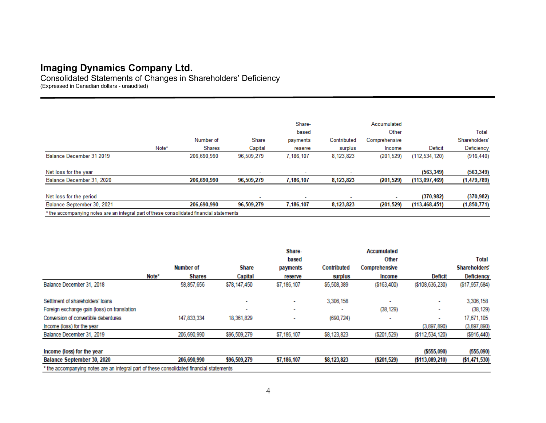Consolidated Statements of Changes in Shareholders' Deficiency (Expressed in Canadian dollars - unaudited)

|                                                                                          |       |               |            | Share-    |             | Accumulated   |                 |               |
|------------------------------------------------------------------------------------------|-------|---------------|------------|-----------|-------------|---------------|-----------------|---------------|
|                                                                                          |       |               |            | based     |             | Other         |                 | Total         |
|                                                                                          |       | Number of     | Share      | payments  | Contributed | Comprehensive |                 | Shareholders' |
|                                                                                          | Note* | <b>Shares</b> | Capital    | reserve   | surplus     | Income        | Deficit         | Deficiency    |
| Balance December 31 2019                                                                 |       | 206.690.990   | 96,509,279 | 7.186.107 | 8,123,823   | (201, 529)    | (112, 534, 120) | (916, 440)    |
| Net loss for the year                                                                    |       |               |            |           |             |               | (563, 349)      | (563, 349)    |
| Balance December 31, 2020                                                                |       | 206,690,990   | 96,509,279 | 7,186,107 | 8,123,823   | (201, 529)    | (113,097,469)   | (1,479,789)   |
| Net loss for the period                                                                  |       |               |            |           |             |               | (370, 982)      | (370, 982)    |
| Balance September 30, 2021                                                               |       | 206,690,990   | 96,509,279 | 7,186,107 | 8,123,823   | (201, 529)    | (113, 468, 451) | (1,850,771)   |
| * the accompanying notes are an integral part of these consolidated financial statements |       |               |            |           |             |               |                 |               |

|                                                                                          |       |               |                          | Share-      |             | Accumulated   |                    |                   |  |  |
|------------------------------------------------------------------------------------------|-------|---------------|--------------------------|-------------|-------------|---------------|--------------------|-------------------|--|--|
|                                                                                          |       |               |                          | based       |             | Other         |                    | Total             |  |  |
|                                                                                          |       | Number of     | <b>Share</b>             | payments    | Contributed | Comprehensive |                    | Shareholders'     |  |  |
|                                                                                          | Note* | <b>Shares</b> | Capital                  | reserve     | surplus     | Income        | Deficit            | <b>Deficiency</b> |  |  |
| Balance December 31, 2018                                                                |       | 58,857,656    | \$78,147,450             | \$7,186,107 | \$5,508,389 | ( \$163,400)  | ( \$108, 636, 230) | ( \$17, 957, 684) |  |  |
| Settiment of shareholders' loans                                                         |       |               | $\overline{\phantom{a}}$ | ۰           | 3,306,158   |               | $\sim$             | 3,306,158         |  |  |
| Foreign exchange gain (loss) on translation                                              |       |               | -                        | ٠           |             | (38, 129)     | ٠                  | (38, 129)         |  |  |
| Conversion of convertible debentures                                                     |       | 147,833,334   | 18,361,829               |             | (690, 724)  |               | ۰                  | 17,671,105        |  |  |
| Income (loss) for the year                                                               |       |               |                          |             |             |               | (3.897.890)        | (3,897,890)       |  |  |
| Balance December 31, 2019                                                                |       | 206,690,990   | \$96,509,279             | \$7,186,107 | \$8,123,823 | ( \$201, 529) | ( \$112, 534, 120) | (\$916,440)       |  |  |
| Income (loss) for the year                                                               |       |               |                          |             |             |               | ( \$555,090)       | (555,090)         |  |  |
| Balance September 30, 2020                                                               |       | 206,690,990   | \$96,509,279             | \$7,186,107 | \$8,123,823 | (5201, 529)   | ( \$113,089,210)   | (51, 471, 530)    |  |  |
| * the accompanying notes are an integral part of these consolidated financial statements |       |               |                          |             |             |               |                    |                   |  |  |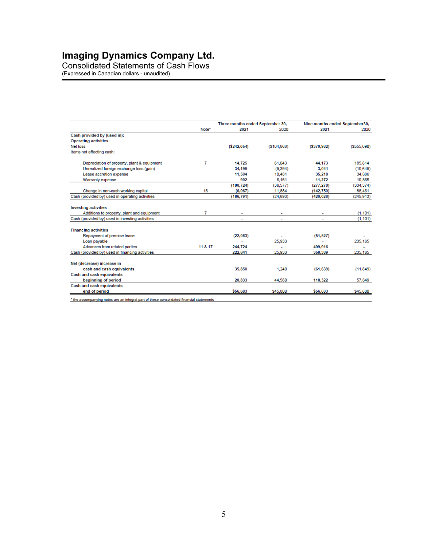Consolidated Statements of Cash Flows

(Expressed in Canadian dollars - unaudited)

|                                                 |         | Three months ended September 30, |                | Nine months ended September30, |              |
|-------------------------------------------------|---------|----------------------------------|----------------|--------------------------------|--------------|
|                                                 | Note*   | 2021                             | 2020           | 2021                           | 2020         |
| Cash provided by (used in):                     |         |                                  |                |                                |              |
| <b>Operating activities</b>                     |         |                                  |                |                                |              |
| Net loss                                        |         | ( \$242,054)                     | (\$104.868)    | ( \$370, 982)                  | ( \$555.090) |
| Items not affecting cash:                       |         |                                  |                |                                |              |
| Depreciation of property, plant & equipment     | 7       | 14.725                           | 61,043         | 44.173                         | 185,814      |
| Unrealized foreign exchange loss (gain)         |         | 34,199                           | (9.394)        | 3,041                          | (10, 649)    |
| Lease accretion expense                         |         | 11,504                           | 10,481         | 35,218                         | 34,686       |
| Warranty expense                                |         | 902                              | 6.161          | 11,272                         | 10,865       |
|                                                 |         | (180, 724)                       | (36, 577)      | (277, 278)                     | (334, 374)   |
| Change in non-cash working capital              | 16      | (6,067)                          | 11,884         | (142, 750)                     | 88,461       |
| Cash (provided by) used in operating activities |         | (186, 791)                       | (24, 693)      | (420.028)                      | (245, 913)   |
| <b>Investing activities</b>                     |         |                                  |                |                                |              |
| Additions to property, plant and equipment      | 7       |                                  |                |                                | (1, 101)     |
| Cash (provided by) used in investing activities |         | $\overline{\phantom{a}}$         | $\overline{a}$ | ÷.                             | (1, 101)     |
| <b>Financing activities</b>                     |         |                                  |                |                                |              |
| Repayment of premise lease                      |         | (22, 083)                        |                | (51, 527)                      |              |
| Loan payable                                    |         |                                  | 25,933         |                                | 235,165      |
| Advances from related parties                   | 11 & 17 | 244.724                          |                | 409.916                        |              |
| Cash (provided by) used in financing activities |         | 222,641                          | 25,933         | 358,389                        | 235,165      |
| Net (decrease) increase in                      |         |                                  |                |                                |              |
| cash and cash equivalents                       |         | 35,850                           | 1.240          | (61, 639)                      | (11, 849)    |
| <b>Cash and cash equivalents</b>                |         |                                  |                |                                |              |
| beginning of period                             |         | 20,833                           | 44,560         | 118,322                        | 57,649       |
| Cash and cash equivalents                       |         |                                  |                |                                |              |
| end of period                                   |         | \$56,683                         | \$45,800       | \$56,683                       | \$45,800     |

\* the accompanying notes are an integral part of these consolidated financial statements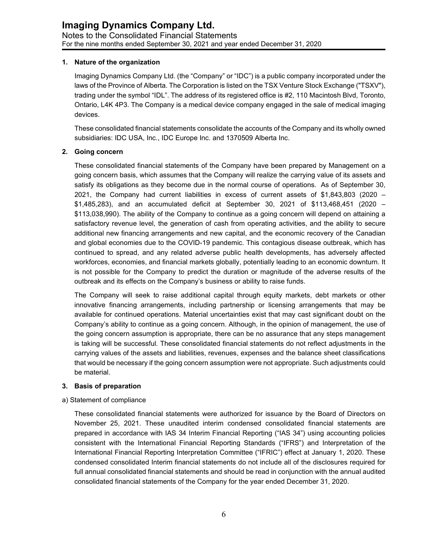#### **1. Nature of the organization**

Imaging Dynamics Company Ltd. (the "Company" or "IDC") is a public company incorporated under the laws of the Province of Alberta. The Corporation is listed on the TSX Venture Stock Exchange ("TSXV"), trading under the symbol "IDL". The address of its registered office is #2, 110 Macintosh Blvd, Toronto, Ontario, L4K 4P3. The Company is a medical device company engaged in the sale of medical imaging devices.

These consolidated financial statements consolidate the accounts of the Company and its wholly owned subsidiaries: IDC USA, Inc., IDC Europe Inc. and 1370509 Alberta Inc.

#### **2. Going concern**

These consolidated financial statements of the Company have been prepared by Management on a going concern basis, which assumes that the Company will realize the carrying value of its assets and satisfy its obligations as they become due in the normal course of operations. As of September 30, 2021, the Company had current liabilities in excess of current assets of \$1,843,803 (2020 – \$1,485,283), and an accumulated deficit at September 30, 2021 of \$113,468,451 (2020 – \$113,038,990). The ability of the Company to continue as a going concern will depend on attaining a satisfactory revenue level, the generation of cash from operating activities, and the ability to secure additional new financing arrangements and new capital, and the economic recovery of the Canadian and global economies due to the COVID-19 pandemic. This contagious disease outbreak, which has continued to spread, and any related adverse public health developments, has adversely affected workforces, economies, and financial markets globally, potentially leading to an economic downturn. It is not possible for the Company to predict the duration or magnitude of the adverse results of the outbreak and its effects on the Company's business or ability to raise funds.

The Company will seek to raise additional capital through equity markets, debt markets or other innovative financing arrangements, including partnership or licensing arrangements that may be available for continued operations. Material uncertainties exist that may cast significant doubt on the Company's ability to continue as a going concern. Although, in the opinion of management, the use of the going concern assumption is appropriate, there can be no assurance that any steps management is taking will be successful. These consolidated financial statements do not reflect adjustments in the carrying values of the assets and liabilities, revenues, expenses and the balance sheet classifications that would be necessary if the going concern assumption were not appropriate. Such adjustments could be material.

#### **3. Basis of preparation**

#### a) Statement of compliance

These consolidated financial statements were authorized for issuance by the Board of Directors on November 25, 2021. These unaudited interim condensed consolidated financial statements are prepared in accordance with IAS 34 Interim Financial Reporting ("IAS 34") using accounting policies consistent with the International Financial Reporting Standards ("IFRS") and Interpretation of the International Financial Reporting Interpretation Committee ("IFRIC") effect at January 1, 2020. These condensed consolidated Interim financial statements do not include all of the disclosures required for full annual consolidated financial statements and should be read in conjunction with the annual audited consolidated financial statements of the Company for the year ended December 31, 2020.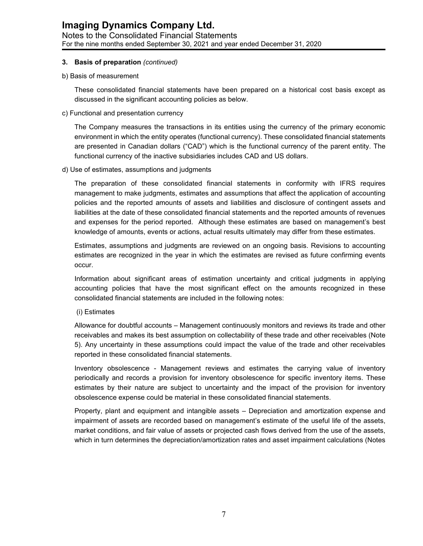#### **Imaging Dynamics Company Ltd.** Notes to the Consolidated Financial Statements For the nine months ended September 30, 2021 and year ended December 31, 2020

#### **3. Basis of preparation** *(continued)*

b) Basis of measurement

These consolidated financial statements have been prepared on a historical cost basis except as discussed in the significant accounting policies as below.

c) Functional and presentation currency

The Company measures the transactions in its entities using the currency of the primary economic environment in which the entity operates (functional currency). These consolidated financial statements are presented in Canadian dollars ("CAD") which is the functional currency of the parent entity. The functional currency of the inactive subsidiaries includes CAD and US dollars.

d) Use of estimates, assumptions and judgments

The preparation of these consolidated financial statements in conformity with IFRS requires management to make judgments, estimates and assumptions that affect the application of accounting policies and the reported amounts of assets and liabilities and disclosure of contingent assets and liabilities at the date of these consolidated financial statements and the reported amounts of revenues and expenses for the period reported. Although these estimates are based on management's best knowledge of amounts, events or actions, actual results ultimately may differ from these estimates.

Estimates, assumptions and judgments are reviewed on an ongoing basis. Revisions to accounting estimates are recognized in the year in which the estimates are revised as future confirming events occur.

Information about significant areas of estimation uncertainty and critical judgments in applying accounting policies that have the most significant effect on the amounts recognized in these consolidated financial statements are included in the following notes:

(i) Estimates

Allowance for doubtful accounts – Management continuously monitors and reviews its trade and other receivables and makes its best assumption on collectability of these trade and other receivables (Note 5). Any uncertainty in these assumptions could impact the value of the trade and other receivables reported in these consolidated financial statements.

Inventory obsolescence - Management reviews and estimates the carrying value of inventory periodically and records a provision for inventory obsolescence for specific inventory items. These estimates by their nature are subject to uncertainty and the impact of the provision for inventory obsolescence expense could be material in these consolidated financial statements.

Property, plant and equipment and intangible assets – Depreciation and amortization expense and impairment of assets are recorded based on management's estimate of the useful life of the assets, market conditions, and fair value of assets or projected cash flows derived from the use of the assets, which in turn determines the depreciation/amortization rates and asset impairment calculations (Notes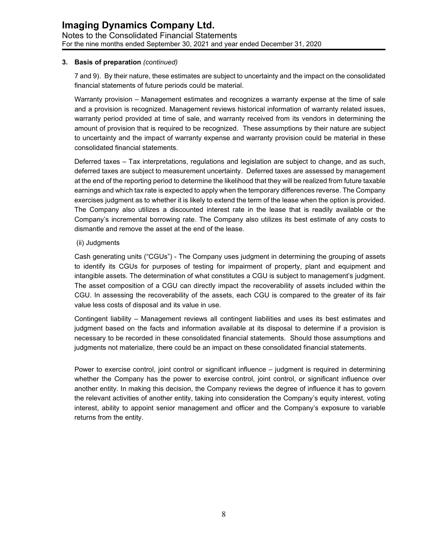#### **3. Basis of preparation** *(continued)*

7 and 9). By their nature, these estimates are subject to uncertainty and the impact on the consolidated financial statements of future periods could be material.

Warranty provision – Management estimates and recognizes a warranty expense at the time of sale and a provision is recognized. Management reviews historical information of warranty related issues, warranty period provided at time of sale, and warranty received from its vendors in determining the amount of provision that is required to be recognized. These assumptions by their nature are subject to uncertainty and the impact of warranty expense and warranty provision could be material in these consolidated financial statements.

Deferred taxes – Tax interpretations, regulations and legislation are subject to change, and as such, deferred taxes are subject to measurement uncertainty. Deferred taxes are assessed by management at the end of the reporting period to determine the likelihood that they will be realized from future taxable earnings and which tax rate is expected to apply when the temporary differences reverse. The Company exercises judgment as to whether it is likely to extend the term of the lease when the option is provided. The Company also utilizes a discounted interest rate in the lease that is readily available or the Company's incremental borrowing rate. The Company also utilizes its best estimate of any costs to dismantle and remove the asset at the end of the lease.

#### (ii) Judgments

Cash generating units ("CGUs") - The Company uses judgment in determining the grouping of assets to identify its CGUs for purposes of testing for impairment of property, plant and equipment and intangible assets. The determination of what constitutes a CGU is subject to management's judgment. The asset composition of a CGU can directly impact the recoverability of assets included within the CGU. In assessing the recoverability of the assets, each CGU is compared to the greater of its fair value less costs of disposal and its value in use.

Contingent liability – Management reviews all contingent liabilities and uses its best estimates and judgment based on the facts and information available at its disposal to determine if a provision is necessary to be recorded in these consolidated financial statements. Should those assumptions and judgments not materialize, there could be an impact on these consolidated financial statements.

Power to exercise control, joint control or significant influence – judgment is required in determining whether the Company has the power to exercise control, joint control, or significant influence over another entity. In making this decision, the Company reviews the degree of influence it has to govern the relevant activities of another entity, taking into consideration the Company's equity interest, voting interest, ability to appoint senior management and officer and the Company's exposure to variable returns from the entity.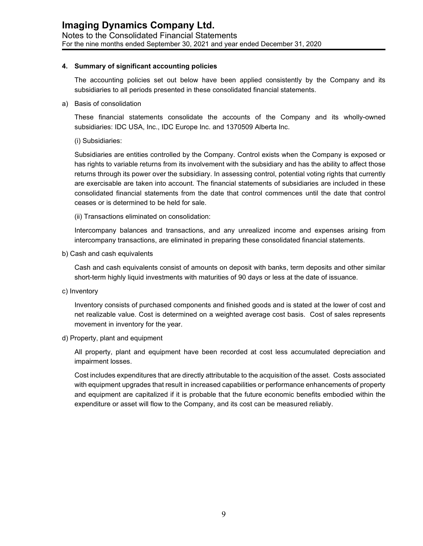#### **4. Summary of significant accounting policies**

The accounting policies set out below have been applied consistently by the Company and its subsidiaries to all periods presented in these consolidated financial statements.

a) Basis of consolidation

These financial statements consolidate the accounts of the Company and its wholly-owned subsidiaries: IDC USA, Inc., IDC Europe Inc. and 1370509 Alberta Inc.

(i) Subsidiaries:

Subsidiaries are entities controlled by the Company. Control exists when the Company is exposed or has rights to variable returns from its involvement with the subsidiary and has the ability to affect those returns through its power over the subsidiary. In assessing control, potential voting rights that currently are exercisable are taken into account. The financial statements of subsidiaries are included in these consolidated financial statements from the date that control commences until the date that control ceases or is determined to be held for sale.

(ii) Transactions eliminated on consolidation:

Intercompany balances and transactions, and any unrealized income and expenses arising from intercompany transactions, are eliminated in preparing these consolidated financial statements.

b) Cash and cash equivalents

Cash and cash equivalents consist of amounts on deposit with banks, term deposits and other similar short-term highly liquid investments with maturities of 90 days or less at the date of issuance.

c) Inventory

Inventory consists of purchased components and finished goods and is stated at the lower of cost and net realizable value. Cost is determined on a weighted average cost basis. Cost of sales represents movement in inventory for the year.

d) Property, plant and equipment

All property, plant and equipment have been recorded at cost less accumulated depreciation and impairment losses.

Cost includes expenditures that are directly attributable to the acquisition of the asset. Costs associated with equipment upgrades that result in increased capabilities or performance enhancements of property and equipment are capitalized if it is probable that the future economic benefits embodied within the expenditure or asset will flow to the Company, and its cost can be measured reliably.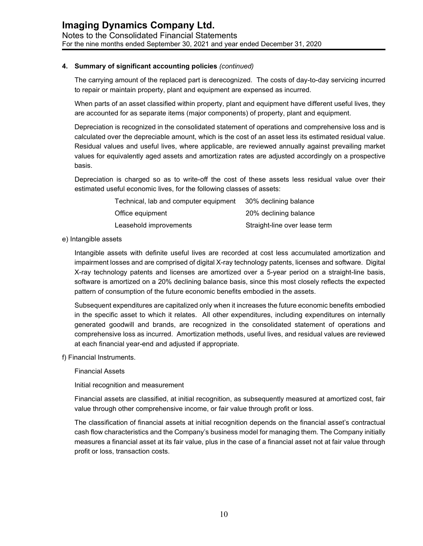The carrying amount of the replaced part is derecognized. The costs of day-to-day servicing incurred to repair or maintain property, plant and equipment are expensed as incurred.

When parts of an asset classified within property, plant and equipment have different useful lives, they are accounted for as separate items (major components) of property, plant and equipment.

Depreciation is recognized in the consolidated statement of operations and comprehensive loss and is calculated over the depreciable amount, which is the cost of an asset less its estimated residual value. Residual values and useful lives, where applicable, are reviewed annually against prevailing market values for equivalently aged assets and amortization rates are adjusted accordingly on a prospective basis.

Depreciation is charged so as to write-off the cost of these assets less residual value over their estimated useful economic lives, for the following classes of assets:

| Technical, lab and computer equipment | 30% declining balance         |
|---------------------------------------|-------------------------------|
| Office equipment                      | 20% declining balance         |
| Leasehold improvements                | Straight-line over lease term |

e) Intangible assets

Intangible assets with definite useful lives are recorded at cost less accumulated amortization and impairment losses and are comprised of digital X-ray technology patents, licenses and software. Digital X-ray technology patents and licenses are amortized over a 5-year period on a straight-line basis, software is amortized on a 20% declining balance basis, since this most closely reflects the expected pattern of consumption of the future economic benefits embodied in the assets.

Subsequent expenditures are capitalized only when it increases the future economic benefits embodied in the specific asset to which it relates. All other expenditures, including expenditures on internally generated goodwill and brands, are recognized in the consolidated statement of operations and comprehensive loss as incurred. Amortization methods, useful lives, and residual values are reviewed at each financial year-end and adjusted if appropriate.

f) Financial Instruments.

#### Financial Assets

Initial recognition and measurement

Financial assets are classified, at initial recognition, as subsequently measured at amortized cost, fair value through other comprehensive income, or fair value through profit or loss.

The classification of financial assets at initial recognition depends on the financial asset's contractual cash flow characteristics and the Company's business model for managing them. The Company initially measures a financial asset at its fair value, plus in the case of a financial asset not at fair value through profit or loss, transaction costs.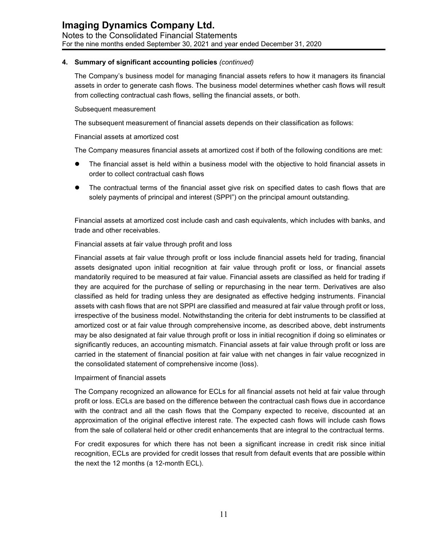The Company's business model for managing financial assets refers to how it managers its financial assets in order to generate cash flows. The business model determines whether cash flows will result from collecting contractual cash flows, selling the financial assets, or both.

#### Subsequent measurement

The subsequent measurement of financial assets depends on their classification as follows:

#### Financial assets at amortized cost

The Company measures financial assets at amortized cost if both of the following conditions are met:

- The financial asset is held within a business model with the objective to hold financial assets in order to collect contractual cash flows
- The contractual terms of the financial asset give risk on specified dates to cash flows that are solely payments of principal and interest (SPPI") on the principal amount outstanding.

Financial assets at amortized cost include cash and cash equivalents, which includes with banks, and trade and other receivables.

#### Financial assets at fair value through profit and loss

Financial assets at fair value through profit or loss include financial assets held for trading, financial assets designated upon initial recognition at fair value through profit or loss, or financial assets mandatorily required to be measured at fair value. Financial assets are classified as held for trading if they are acquired for the purchase of selling or repurchasing in the near term. Derivatives are also classified as held for trading unless they are designated as effective hedging instruments. Financial assets with cash flows that are not SPPI are classified and measured at fair value through profit or loss, irrespective of the business model. Notwithstanding the criteria for debt instruments to be classified at amortized cost or at fair value through comprehensive income, as described above, debt instruments may be also designated at fair value through profit or loss in initial recognition if doing so eliminates or significantly reduces, an accounting mismatch. Financial assets at fair value through profit or loss are carried in the statement of financial position at fair value with net changes in fair value recognized in the consolidated statement of comprehensive income (loss).

#### Impairment of financial assets

The Company recognized an allowance for ECLs for all financial assets not held at fair value through profit or loss. ECLs are based on the difference between the contractual cash flows due in accordance with the contract and all the cash flows that the Company expected to receive, discounted at an approximation of the original effective interest rate. The expected cash flows will include cash flows from the sale of collateral held or other credit enhancements that are integral to the contractual terms.

For credit exposures for which there has not been a significant increase in credit risk since initial recognition, ECLs are provided for credit losses that result from default events that are possible within the next the 12 months (a 12-month ECL).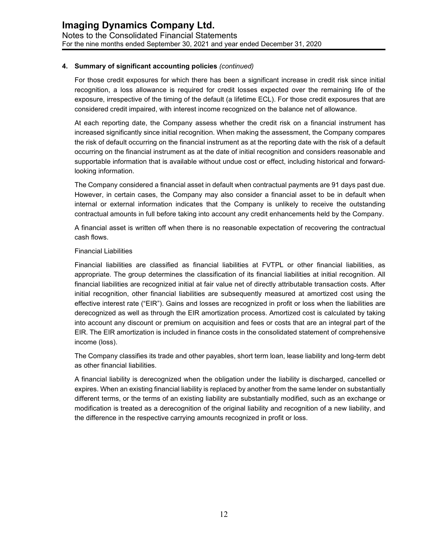For those credit exposures for which there has been a significant increase in credit risk since initial recognition, a loss allowance is required for credit losses expected over the remaining life of the exposure, irrespective of the timing of the default (a lifetime ECL). For those credit exposures that are considered credit impaired, with interest income recognized on the balance net of allowance.

At each reporting date, the Company assess whether the credit risk on a financial instrument has increased significantly since initial recognition. When making the assessment, the Company compares the risk of default occurring on the financial instrument as at the reporting date with the risk of a default occurring on the financial instrument as at the date of initial recognition and considers reasonable and supportable information that is available without undue cost or effect, including historical and forwardlooking information.

The Company considered a financial asset in default when contractual payments are 91 days past due. However, in certain cases, the Company may also consider a financial asset to be in default when internal or external information indicates that the Company is unlikely to receive the outstanding contractual amounts in full before taking into account any credit enhancements held by the Company.

A financial asset is written off when there is no reasonable expectation of recovering the contractual cash flows.

#### Financial Liabilities

Financial liabilities are classified as financial liabilities at FVTPL or other financial liabilities, as appropriate. The group determines the classification of its financial liabilities at initial recognition. All financial liabilities are recognized initial at fair value net of directly attributable transaction costs. After initial recognition, other financial liabilities are subsequently measured at amortized cost using the effective interest rate ("EIR"). Gains and losses are recognized in profit or loss when the liabilities are derecognized as well as through the EIR amortization process. Amortized cost is calculated by taking into account any discount or premium on acquisition and fees or costs that are an integral part of the EIR. The EIR amortization is included in finance costs in the consolidated statement of comprehensive income (loss).

The Company classifies its trade and other payables, short term loan, lease liability and long-term debt as other financial liabilities.

A financial liability is derecognized when the obligation under the liability is discharged, cancelled or expires. When an existing financial liability is replaced by another from the same lender on substantially different terms, or the terms of an existing liability are substantially modified, such as an exchange or modification is treated as a derecognition of the original liability and recognition of a new liability, and the difference in the respective carrying amounts recognized in profit or loss.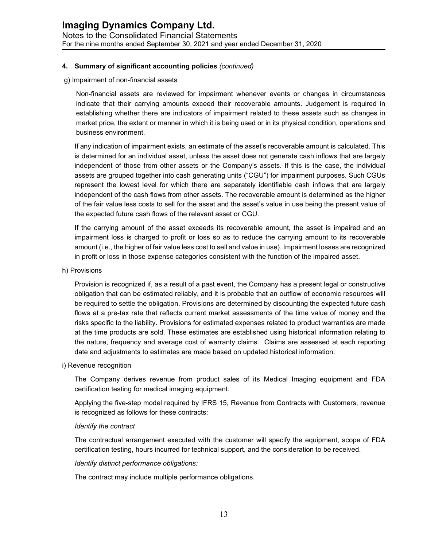#### g) Impairment of non-financial assets

Non-financial assets are reviewed for impairment whenever events or changes in circumstances indicate that their carrying amounts exceed their recoverable amounts. Judgement is required in establishing whether there are indicators of impairment related to these assets such as changes in market price, the extent or manner in which it is being used or in its physical condition, operations and business environment.

If any indication of impairment exists, an estimate of the asset's recoverable amount is calculated. This is determined for an individual asset, unless the asset does not generate cash inflows that are largely independent of those from other assets or the Company's assets. If this is the case, the individual assets are grouped together into cash generating units ("CGU") for impairment purposes. Such CGUs represent the lowest level for which there are separately identifiable cash inflows that are largely independent of the cash flows from other assets. The recoverable amount is determined as the higher of the fair value less costs to sell for the asset and the asset's value in use being the present value of the expected future cash flows of the relevant asset or CGU.

If the carrying amount of the asset exceeds its recoverable amount, the asset is impaired and an impairment loss is charged to profit or loss so as to reduce the carrying amount to its recoverable amount (i.e., the higher of fair value less cost to sell and value in use). Impairment losses are recognized in profit or loss in those expense categories consistent with the function of the impaired asset.

#### h) Provisions

Provision is recognized if, as a result of a past event, the Company has a present legal or constructive obligation that can be estimated reliably, and it is probable that an outflow of economic resources will be required to settle the obligation. Provisions are determined by discounting the expected future cash flows at a pre-tax rate that reflects current market assessments of the time value of money and the risks specific to the liability. Provisions for estimated expenses related to product warranties are made at the time products are sold. These estimates are established using historical information relating to the nature, frequency and average cost of warranty claims. Claims are assessed at each reporting date and adjustments to estimates are made based on updated historical information.

#### i) Revenue recognition

The Company derives revenue from product sales of its Medical Imaging equipment and FDA certification testing for medical imaging equipment.

Applying the five-step model required by IFRS 15, Revenue from Contracts with Customers, revenue is recognized as follows for these contracts:

#### *Identify the contract*

The contractual arrangement executed with the customer will specify the equipment, scope of FDA certification testing, hours incurred for technical support, and the consideration to be received.

#### *Identify distinct performance obligations:*

The contract may include multiple performance obligations.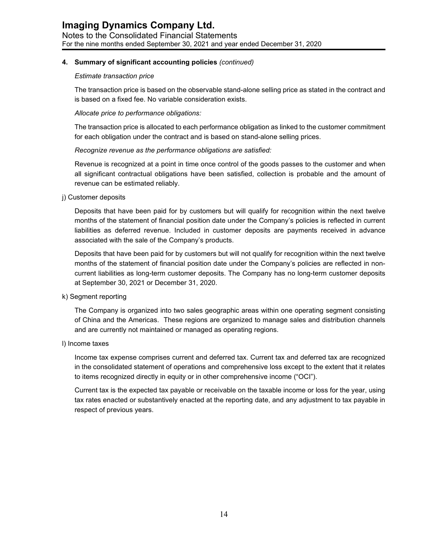#### *Estimate transaction price*

The transaction price is based on the observable stand-alone selling price as stated in the contract and is based on a fixed fee. No variable consideration exists.

#### *Allocate price to performance obligations:*

The transaction price is allocated to each performance obligation as linked to the customer commitment for each obligation under the contract and is based on stand-alone selling prices.

#### *Recognize revenue as the performance obligations are satisfied:*

Revenue is recognized at a point in time once control of the goods passes to the customer and when all significant contractual obligations have been satisfied, collection is probable and the amount of revenue can be estimated reliably.

j) Customer deposits

Deposits that have been paid for by customers but will qualify for recognition within the next twelve months of the statement of financial position date under the Company's policies is reflected in current liabilities as deferred revenue. Included in customer deposits are payments received in advance associated with the sale of the Company's products.

Deposits that have been paid for by customers but will not qualify for recognition within the next twelve months of the statement of financial position date under the Company's policies are reflected in noncurrent liabilities as long-term customer deposits. The Company has no long-term customer deposits at September 30, 2021 or December 31, 2020.

k) Segment reporting

The Company is organized into two sales geographic areas within one operating segment consisting of China and the Americas. These regions are organized to manage sales and distribution channels and are currently not maintained or managed as operating regions.

#### l) Income taxes

Income tax expense comprises current and deferred tax. Current tax and deferred tax are recognized in the consolidated statement of operations and comprehensive loss except to the extent that it relates to items recognized directly in equity or in other comprehensive income ("OCI").

Current tax is the expected tax payable or receivable on the taxable income or loss for the year, using tax rates enacted or substantively enacted at the reporting date, and any adjustment to tax payable in respect of previous years.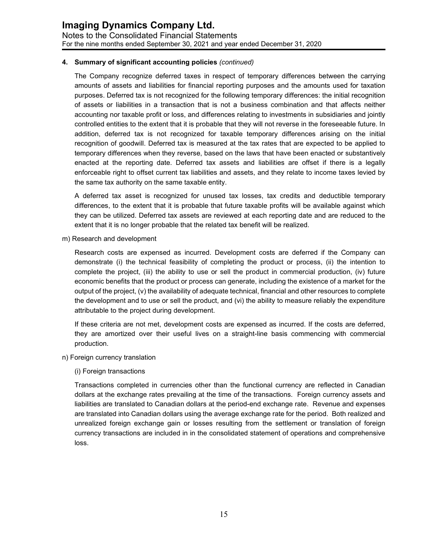The Company recognize deferred taxes in respect of temporary differences between the carrying amounts of assets and liabilities for financial reporting purposes and the amounts used for taxation purposes. Deferred tax is not recognized for the following temporary differences: the initial recognition of assets or liabilities in a transaction that is not a business combination and that affects neither accounting nor taxable profit or loss, and differences relating to investments in subsidiaries and jointly controlled entities to the extent that it is probable that they will not reverse in the foreseeable future. In addition, deferred tax is not recognized for taxable temporary differences arising on the initial recognition of goodwill. Deferred tax is measured at the tax rates that are expected to be applied to temporary differences when they reverse, based on the laws that have been enacted or substantively enacted at the reporting date. Deferred tax assets and liabilities are offset if there is a legally enforceable right to offset current tax liabilities and assets, and they relate to income taxes levied by the same tax authority on the same taxable entity.

A deferred tax asset is recognized for unused tax losses, tax credits and deductible temporary differences, to the extent that it is probable that future taxable profits will be available against which they can be utilized. Deferred tax assets are reviewed at each reporting date and are reduced to the extent that it is no longer probable that the related tax benefit will be realized.

m) Research and development

Research costs are expensed as incurred. Development costs are deferred if the Company can demonstrate (i) the technical feasibility of completing the product or process, (ii) the intention to complete the project, (iii) the ability to use or sell the product in commercial production, (iv) future economic benefits that the product or process can generate, including the existence of a market for the output of the project, (v) the availability of adequate technical, financial and other resources to complete the development and to use or sell the product, and (vi) the ability to measure reliably the expenditure attributable to the project during development.

If these criteria are not met, development costs are expensed as incurred. If the costs are deferred, they are amortized over their useful lives on a straight-line basis commencing with commercial production.

- n) Foreign currency translation
	- (i) Foreign transactions

Transactions completed in currencies other than the functional currency are reflected in Canadian dollars at the exchange rates prevailing at the time of the transactions. Foreign currency assets and liabilities are translated to Canadian dollars at the period-end exchange rate. Revenue and expenses are translated into Canadian dollars using the average exchange rate for the period. Both realized and unrealized foreign exchange gain or losses resulting from the settlement or translation of foreign currency transactions are included in in the consolidated statement of operations and comprehensive loss.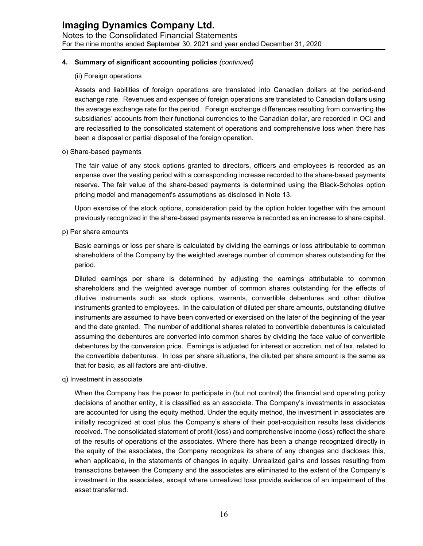#### (ii) Foreign operations

Assets and liabilities of foreign operations are translated into Canadian dollars at the period-end exchange rate. Revenues and expenses of foreign operations are translated to Canadian dollars using the average exchange rate for the period. Foreign exchange differences resulting from converting the subsidiaries' accounts from their functional currencies to the Canadian dollar, are recorded in OCI and are reclassified to the consolidated statement of operations and comprehensive loss when there has been a disposal or partial disposal of the foreign operation.

o) Share-based payments

The fair value of any stock options granted to directors, officers and employees is recorded as an expense over the vesting period with a corresponding increase recorded to the share-based payments reserve. The fair value of the share-based payments is determined using the Black-Scholes option pricing model and management's assumptions as disclosed in Note 13.

Upon exercise of the stock options, consideration paid by the option holder together with the amount previously recognized in the share-based payments reserve is recorded as an increase to share capital.

p) Per share amounts

Basic earnings or loss per share is calculated by dividing the earnings or loss attributable to common shareholders of the Company by the weighted average number of common shares outstanding for the period.

Diluted earnings per share is determined by adjusting the earnings attributable to common shareholders and the weighted average number of common shares outstanding for the effects of dilutive instruments such as stock options, warrants, convertible debentures and other dilutive instruments granted to employees. In the calculation of diluted per share amounts, outstanding dilutive instruments are assumed to have been converted or exercised on the later of the beginning of the year and the date granted. The number of additional shares related to convertible debentures is calculated assuming the debentures are converted into common shares by dividing the face value of convertible debentures by the conversion price. Earnings is adjusted for interest or accretion, net of tax, related to the convertible debentures. In loss per share situations, the diluted per share amount is the same as that for basic, as all factors are anti-dilutive.

q) Investment in associate

When the Company has the power to participate in (but not control) the financial and operating policy decisions of another entity, it is classified as an associate. The Company's investments in associates are accounted for using the equity method. Under the equity method, the investment in associates are initially recognized at cost plus the Company's share of their post-acquisition results less dividends received. The consolidated statement of profit (loss) and comprehensive income (loss) reflect the share of the results of operations of the associates. Where there has been a change recognized directly in the equity of the associates, the Company recognizes its share of any changes and discloses this, when applicable, in the statements of changes in equity. Unrealized gains and losses resulting from transactions between the Company and the associates are eliminated to the extent of the Company's investment in the associates, except where unrealized loss provide evidence of an impairment of the asset transferred.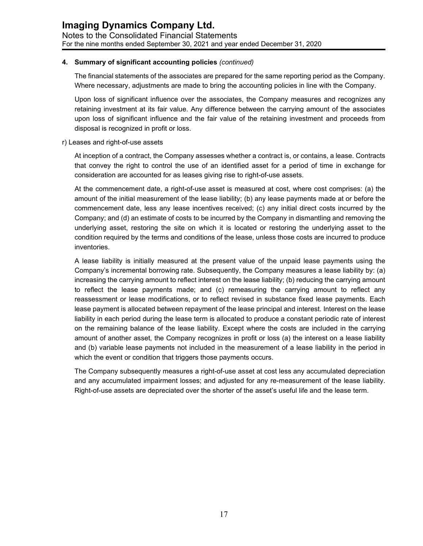The financial statements of the associates are prepared for the same reporting period as the Company. Where necessary, adjustments are made to bring the accounting policies in line with the Company.

Upon loss of significant influence over the associates, the Company measures and recognizes any retaining investment at its fair value. Any difference between the carrying amount of the associates upon loss of significant influence and the fair value of the retaining investment and proceeds from disposal is recognized in profit or loss.

#### r) Leases and right-of-use assets

At inception of a contract, the Company assesses whether a contract is, or contains, a lease. Contracts that convey the right to control the use of an identified asset for a period of time in exchange for consideration are accounted for as leases giving rise to right-of-use assets.

At the commencement date, a right-of-use asset is measured at cost, where cost comprises: (a) the amount of the initial measurement of the lease liability; (b) any lease payments made at or before the commencement date, less any lease incentives received; (c) any initial direct costs incurred by the Company; and (d) an estimate of costs to be incurred by the Company in dismantling and removing the underlying asset, restoring the site on which it is located or restoring the underlying asset to the condition required by the terms and conditions of the lease, unless those costs are incurred to produce inventories.

A lease liability is initially measured at the present value of the unpaid lease payments using the Company's incremental borrowing rate. Subsequently, the Company measures a lease liability by: (a) increasing the carrying amount to reflect interest on the lease liability; (b) reducing the carrying amount to reflect the lease payments made; and (c) remeasuring the carrying amount to reflect any reassessment or lease modifications, or to reflect revised in substance fixed lease payments. Each lease payment is allocated between repayment of the lease principal and interest. Interest on the lease liability in each period during the lease term is allocated to produce a constant periodic rate of interest on the remaining balance of the lease liability. Except where the costs are included in the carrying amount of another asset, the Company recognizes in profit or loss (a) the interest on a lease liability and (b) variable lease payments not included in the measurement of a lease liability in the period in which the event or condition that triggers those payments occurs.

The Company subsequently measures a right-of-use asset at cost less any accumulated depreciation and any accumulated impairment losses; and adjusted for any re-measurement of the lease liability. Right-of-use assets are depreciated over the shorter of the asset's useful life and the lease term.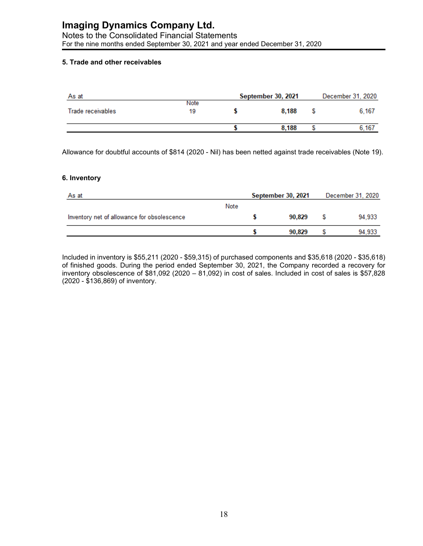Notes to the Consolidated Financial Statements For the nine months ended September 30, 2021 and year ended December 31, 2020

#### **5. Trade and other receivables**

| As at             | September 30, 2021 | December 31, 2020 |       |  |
|-------------------|--------------------|-------------------|-------|--|
| Trade receivables | Note<br>19         | 8.188             | 6.167 |  |
|                   |                    | 8.188             | .167  |  |

Allowance for doubtful accounts of \$814 (2020 - Nil) has been netted against trade receivables (Note 19).

#### **6. Inventory**

| As at                                       |      |  | September 30, 2021 | December 31, 2020 |        |  |
|---------------------------------------------|------|--|--------------------|-------------------|--------|--|
|                                             | Note |  |                    |                   |        |  |
| Inventory net of allowance for obsolescence |      |  | 90.829             |                   | 94.933 |  |
|                                             |      |  | 90.829             |                   | 94,933 |  |

Included in inventory is \$55,211 (2020 - \$59,315) of purchased components and \$35,618 (2020 - \$35,618) of finished goods. During the period ended September 30, 2021, the Company recorded a recovery for inventory obsolescence of \$81,092 (2020 – 81,092) in cost of sales. Included in cost of sales is \$57,828 (2020 - \$136,869) of inventory.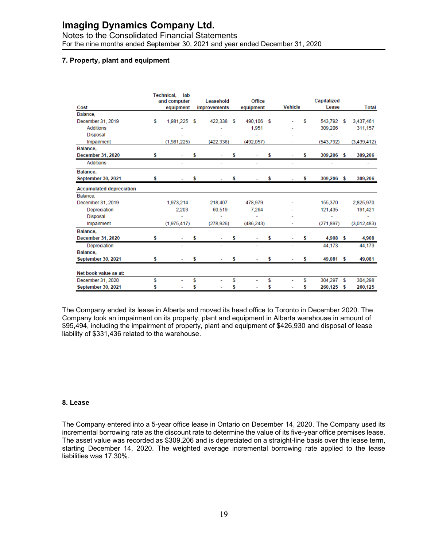#### Notes to the Consolidated Financial Statements For the nine months ended September 30, 2021 and year ended December 31, 2020

#### **7. Property, plant and equipment**

|                                 |    | <b>Technical.</b><br>lab<br>and computer |   | Leasehold    |    | Office     |                          |    | Capitalized |    |              |
|---------------------------------|----|------------------------------------------|---|--------------|----|------------|--------------------------|----|-------------|----|--------------|
| Cost                            |    | equipment                                |   | improvements |    | equipment  | <b>Vehicle</b>           |    | Lease       |    | <b>Total</b> |
| Balance,                        |    |                                          |   |              |    |            |                          |    |             |    |              |
| December 31, 2019               | S  | 1,981,225                                | S | 422.338      | \$ | 490.106 \$ |                          | S  | 543.792     | S  | 3,437,461    |
| <b>Additions</b>                |    |                                          |   |              |    | 1.951      |                          |    | 309,206     |    | 311,157      |
| <b>Disposal</b>                 |    |                                          |   |              |    |            |                          |    |             |    |              |
| Impairment                      |    | (1,981,225)                              |   | (422, 338)   |    | (492, 057) |                          |    | (543, 792)  |    | (3,439,412)  |
| Balance,                        |    |                                          |   |              |    |            |                          |    |             |    |              |
| December 31, 2020               | \$ |                                          | s |              |    |            | \$                       | s  | 309,206 \$  |    | 309,206      |
| <b>Additions</b>                |    | $\overline{\phantom{0}}$                 |   |              |    | ۰          | $\overline{\phantom{0}}$ |    |             |    |              |
| Balance,                        |    |                                          |   |              |    |            |                          |    |             |    |              |
| September 30, 2021              |    |                                          |   |              |    |            |                          |    | 309,206 \$  |    | 309,206      |
| <b>Accumulated depreciation</b> |    |                                          |   |              |    |            |                          |    |             |    |              |
| Balance.                        |    |                                          |   |              |    |            |                          |    |             |    |              |
| December 31, 2019               |    | 1,973,214                                |   | 218,407      |    | 478,979    |                          |    | 155,370     |    | 2,825,970    |
| Depreciation                    |    | 2.203                                    |   | 60,519       |    | 7.264      |                          |    | 121,435     |    | 191,421      |
| <b>Disposal</b>                 |    |                                          |   |              |    |            |                          |    |             |    |              |
| Impairment                      |    | (1,975,417)                              |   | (278.926)    |    | (486.243)  |                          |    | (271, 897)  |    | (3,012,483)  |
| Balance,                        |    |                                          |   |              |    |            |                          |    |             |    |              |
| December 31, 2020               | s  |                                          | s |              |    |            |                          | s  | $4,908$ \$  |    | 4,908        |
| Depreciation                    |    |                                          |   |              |    |            |                          |    | 44,173      |    | 44,173       |
| Balance,                        |    |                                          |   |              |    |            |                          |    |             |    |              |
| <b>September 30, 2021</b>       | s  |                                          | S |              |    |            |                          | \$ | 49,081 \$   |    | 49,081       |
| Net book value as at:           |    |                                          |   |              |    |            |                          |    |             |    |              |
| December 31, 2020               | s  |                                          | s |              | S  |            | \$                       | \$ | 304.297     | \$ | 304.298      |
| September 30, 2021              |    |                                          |   |              |    |            |                          |    | 260,125     | s  | 260,125      |
|                                 |    |                                          |   |              |    |            |                          |    |             |    |              |

The Company ended its lease in Alberta and moved its head office to Toronto in December 2020. The Company took an impairment on its property, plant and equipment in Alberta warehouse in amount of \$95,494, including the impairment of property, plant and equipment of \$426,930 and disposal of lease liability of \$331,436 related to the warehouse.

#### **8. Lease**

The Company entered into a 5-year office lease in Ontario on December 14, 2020. The Company used its incremental borrowing rate as the discount rate to determine the value of its five-year office premises lease. The asset value was recorded as \$309,206 and is depreciated on a straight-line basis over the lease term, starting December 14, 2020. The weighted average incremental borrowing rate applied to the lease liabilities was 17.30%.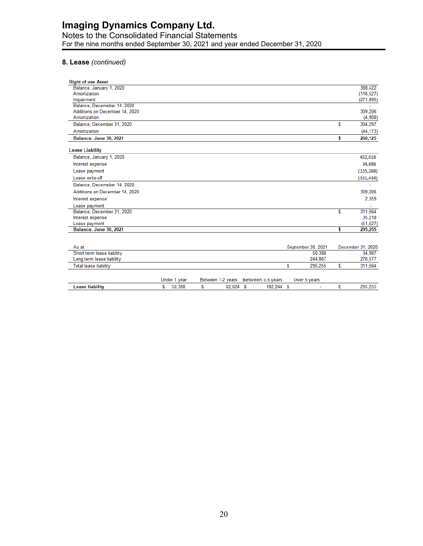#### Notes to the Consolidated Financial Statements For the nine months ended September 30, 2021 and year ended December 31, 2020

#### **8. Lease** *(continued)*

| <b>Right of use Asset</b>      |                    |    |                   |
|--------------------------------|--------------------|----|-------------------|
| Balance, January 1, 2020       |                    |    | 388,422           |
| Amortization                   |                    |    | (116, 527)        |
| Impairment                     |                    |    | (271, 895)        |
| Balance, Decemeber 14, 2020    |                    |    |                   |
| Additions on December 14, 2020 |                    |    | 309,206           |
| Amortization                   |                    |    | (4,908)           |
| Balance, December 31, 2020     |                    | S  | 304,297           |
| Amortization                   |                    |    | (44, 173)         |
| Balance, June 30, 2021         |                    | \$ | 260,125           |
| <b>Lease Liability</b>         |                    |    |                   |
| Balance, January 1, 2020       |                    |    | 452,018           |
| Interest expense               |                    |    | 34,686            |
| Lease payment                  |                    |    | (155, 268)        |
| Lease write-off                |                    |    | (331, 436)        |
| Balance, Decemeber 14, 2020    |                    |    | $\overline{a}$    |
| Additions on December 14, 2020 |                    |    | 309,206           |
| Interest expense               |                    |    | 2,359             |
| Lease payment                  |                    |    |                   |
| Balance, December 31, 2020     |                    | S  | 311,564           |
| Interest expense               |                    |    | 35,218            |
| Lease payment                  |                    |    | (51, 527)         |
| Balance, June 30, 2021         |                    | s  | 295,255           |
|                                |                    |    |                   |
| As at                          | September 30, 2021 |    | December 31, 2020 |

| Short term lease liability |              |           |                                     | 50,388       | 34,987  |
|----------------------------|--------------|-----------|-------------------------------------|--------------|---------|
| Long term lease liability  |              |           |                                     | 244.867      | 276,577 |
| Total lease liability      |              |           |                                     | 295.255      | 311.564 |
|                            |              |           |                                     |              |         |
|                            | Under 1 year |           | Between 1-2 years Between 3-5 years | Over 5 years |         |
| Lease liability            | 50,388       | 62.624 \$ | 182.244                             |              | 295.255 |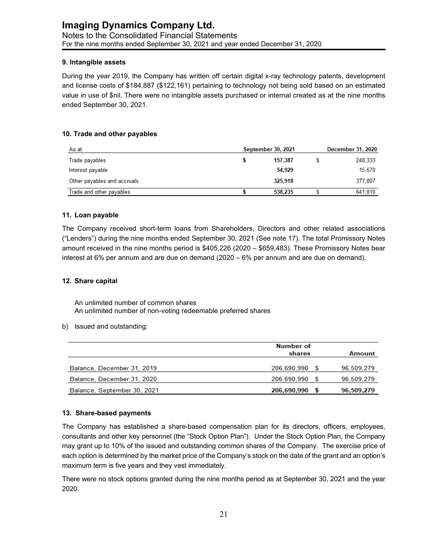#### **9. Intangible assets**

During the year 2019, the Company has written off certain digital x-ray technology patents, development and license costs of \$184,887 (\$122,161) pertaining to technology not being sold based on an estimated value in use of \$nil. There were no intangible assets purchased or internal created as at the nine months ended September 30, 2021.

#### **10. Trade and other payables**

| As at                       | September 30, 2021 | <b>December 31, 2020</b> |  |         |
|-----------------------------|--------------------|--------------------------|--|---------|
| Trade payables              |                    | 157,387                  |  | 248,333 |
| Interest payable            |                    | 54,929                   |  | 15.670  |
| Other payables and accruals |                    | 325.918                  |  | 377.807 |
| Trade and other payables    |                    | 538,235                  |  | 641,810 |

#### **11. Loan payable**

The Company received short-term loans from Shareholders, Directors and other related associations ("Lenders") during the nine months ended September 30, 2021 (See note 17). The total Promissory Notes amount received in the nine months period is \$405,226 (2020 – \$659,483). These Promissory Notes bear interest at 6% per annum and are due on demand (2020 – 6% per annum and are due on demand).

#### **12. Share capital**

An unlimited number of common shares An unlimited number of non-voting redeemable preferred shares

b) Issued and outstanding:

|                             | Number of<br>shares | Amount     |
|-----------------------------|---------------------|------------|
| Balance, December 31, 2019  | 206.690.990 \$      | 96,509,279 |
| Balance, December 31, 2020  | 206.690.990 \$      | 96.509.279 |
| Balance, September 30, 2021 | 206,690,990 \$      | 96,509,279 |

#### **13. Share-based payments**

The Company has established a share-based compensation plan for its directors, officers, employees, consultants and other key personnel (the "Stock Option Plan"). Under the Stock Option Plan, the Company may grant up to 10% of the issued and outstanding common shares of the Company. The exercise price of each option is determined by the market price of the Company's stock on the date of the grant and an option's maximum term is five years and they vest immediately.

There were no stock options granted during the nine months period as at September 30, 2021 and the year 2020.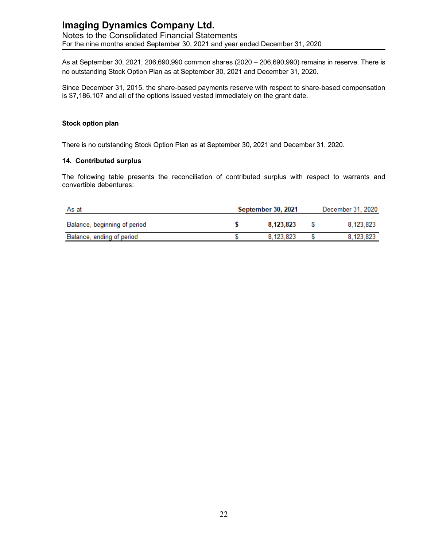#### **Imaging Dynamics Company Ltd.** Notes to the Consolidated Financial Statements For the nine months ended September 30, 2021 and year ended December 31, 2020

As at September 30, 2021, 206,690,990 common shares (2020 – 206,690,990) remains in reserve. There is no outstanding Stock Option Plan as at September 30, 2021 and December 31, 2020.

Since December 31, 2015, the share-based payments reserve with respect to share-based compensation is \$7,186,107 and all of the options issued vested immediately on the grant date.

#### **Stock option plan**

There is no outstanding Stock Option Plan as at September 30, 2021 and December 31, 2020.

#### **14. Contributed surplus**

The following table presents the reconciliation of contributed surplus with respect to warrants and convertible debentures:

| As at                        | September 30, 2021 |           |  | December 31, 2020 |
|------------------------------|--------------------|-----------|--|-------------------|
| Balance, beginning of period |                    | 8.123.823 |  | 8.123.823         |
| Balance, ending of period    |                    | 8.123.823 |  | 8.123.823         |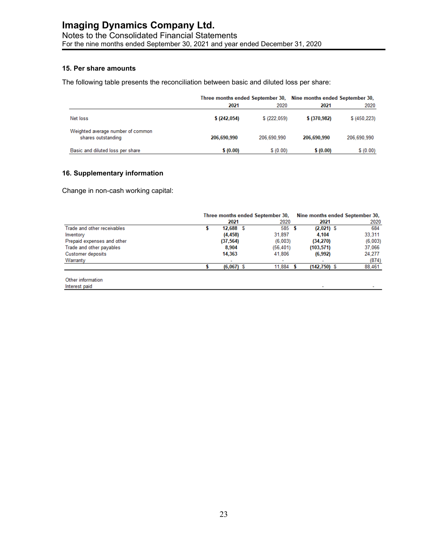Notes to the Consolidated Financial Statements For the nine months ended September 30, 2021 and year ended December 31, 2020

#### **15. Per share amounts**

The following table presents the reconciliation between basic and diluted loss per share:

|                                                         | Three months ended September 30, Nine months ended September 30, |              |               |               |
|---------------------------------------------------------|------------------------------------------------------------------|--------------|---------------|---------------|
|                                                         | 2021                                                             | 2020         | 2021          | 2020          |
| Net loss                                                | \$ (242,054)                                                     | \$ (222,059) | \$ (370, 982) | \$ (450, 223) |
| Weighted average number of common<br>shares outstanding | 206.690.990                                                      | 206.690.990  | 206.690.990   | 206.690.990   |
| Basic and diluted loss per share                        | \$(0.00)                                                         | \$(0.00)     | \$(0.00)      | \$(0.00)      |

#### **16. Supplementary information**

Change in non-cash working capital:

| Three months ended September 30, |           |                             |                                     |  |                                                                    |
|----------------------------------|-----------|-----------------------------|-------------------------------------|--|--------------------------------------------------------------------|
|                                  | 2021      |                             | 2021                                |  | 2020                                                               |
|                                  |           |                             |                                     |  | 684                                                                |
|                                  | (4, 458)  | 31,897                      | 4.104                               |  | 33.311                                                             |
|                                  | (37, 564) |                             | (34,270)                            |  | (6,003)                                                            |
|                                  | 8,904     |                             | (103, 571)                          |  | 37,066                                                             |
|                                  | 14,363    | 41,806                      | (6,992)                             |  | 24.277                                                             |
|                                  |           | $\overline{\phantom{a}}$    |                                     |  | (874)                                                              |
|                                  |           | 11.884                      |                                     |  | 88,461                                                             |
|                                  |           |                             |                                     |  |                                                                    |
|                                  |           | $12,688$ \$<br>$(6,067)$ \$ | 2020<br>585<br>(6,003)<br>(56, 401) |  | Nine months ended September 30,<br>$(2,021)$ \$<br>$(142, 750)$ \$ |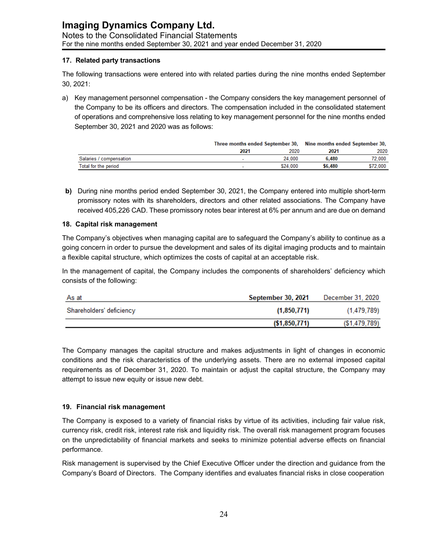#### **17. Related party transactions**

The following transactions were entered into with related parties during the nine months ended September 30, 2021:

a) Key management personnel compensation - the Company considers the key management personnel of the Company to be its officers and directors. The compensation included in the consolidated statement of operations and comprehensive loss relating to key management personnel for the nine months ended September 30, 2021 and 2020 was as follows:

|                         | Three months ended September 30, Nine months ended September 30, |          |         |          |
|-------------------------|------------------------------------------------------------------|----------|---------|----------|
|                         | 2021                                                             | 2020     | 2021    | 2020     |
| Salaries / compensation |                                                                  | 24.000   | 6.480   | 72.000   |
| Total for the period    |                                                                  | \$24,000 | \$6,480 | \$72,000 |

**b)** During nine months period ended September 30, 2021, the Company entered into multiple short-term promissory notes with its shareholders, directors and other related associations. The Company have received 405,226 CAD. These promissory notes bear interest at 6% per annum and are due on demand

#### **18. Capital risk management**

The Company's objectives when managing capital are to safeguard the Company's ability to continue as a going concern in order to pursue the development and sales of its digital imaging products and to maintain a flexible capital structure, which optimizes the costs of capital at an acceptable risk.

In the management of capital, the Company includes the components of shareholders' deficiency which consists of the following:

| As at                    | September 30, 2021 | December 31, 2020 |
|--------------------------|--------------------|-------------------|
| Shareholders' deficiency | (1,850,771)        | (1, 479, 789)     |
|                          | (\$1,850,771)      | ( \$1,479,789)    |

The Company manages the capital structure and makes adjustments in light of changes in economic conditions and the risk characteristics of the underlying assets. There are no external imposed capital requirements as of December 31, 2020. To maintain or adjust the capital structure, the Company may attempt to issue new equity or issue new debt.

#### **19. Financial risk management**

The Company is exposed to a variety of financial risks by virtue of its activities, including fair value risk, currency risk, credit risk, interest rate risk and liquidity risk. The overall risk management program focuses on the unpredictability of financial markets and seeks to minimize potential adverse effects on financial performance.

Risk management is supervised by the Chief Executive Officer under the direction and guidance from the Company's Board of Directors. The Company identifies and evaluates financial risks in close cooperation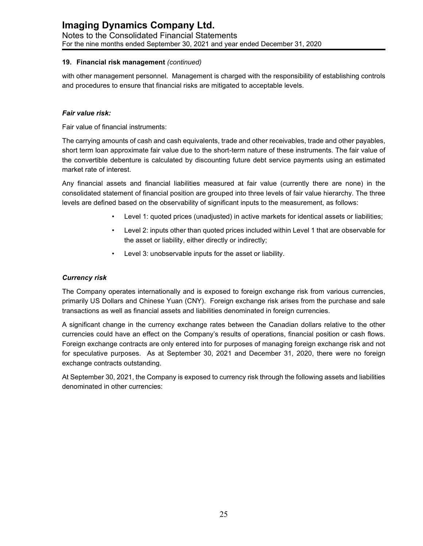#### **19. Financial risk management** *(continued)*

with other management personnel. Management is charged with the responsibility of establishing controls and procedures to ensure that financial risks are mitigated to acceptable levels.

#### *Fair value risk:*

Fair value of financial instruments:

The carrying amounts of cash and cash equivalents, trade and other receivables, trade and other payables, short term loan approximate fair value due to the short-term nature of these instruments. The fair value of the convertible debenture is calculated by discounting future debt service payments using an estimated market rate of interest.

Any financial assets and financial liabilities measured at fair value (currently there are none) in the consolidated statement of financial position are grouped into three levels of fair value hierarchy. The three levels are defined based on the observability of significant inputs to the measurement, as follows:

- Level 1: quoted prices (unadjusted) in active markets for identical assets or liabilities;
- Level 2: inputs other than quoted prices included within Level 1 that are observable for the asset or liability, either directly or indirectly;
- Level 3: unobservable inputs for the asset or liability.

#### *Currency risk*

The Company operates internationally and is exposed to foreign exchange risk from various currencies, primarily US Dollars and Chinese Yuan (CNY). Foreign exchange risk arises from the purchase and sale transactions as well as financial assets and liabilities denominated in foreign currencies.

A significant change in the currency exchange rates between the Canadian dollars relative to the other currencies could have an effect on the Company's results of operations, financial position or cash flows. Foreign exchange contracts are only entered into for purposes of managing foreign exchange risk and not for speculative purposes. As at September 30, 2021 and December 31, 2020, there were no foreign exchange contracts outstanding.

At September 30, 2021, the Company is exposed to currency risk through the following assets and liabilities denominated in other currencies: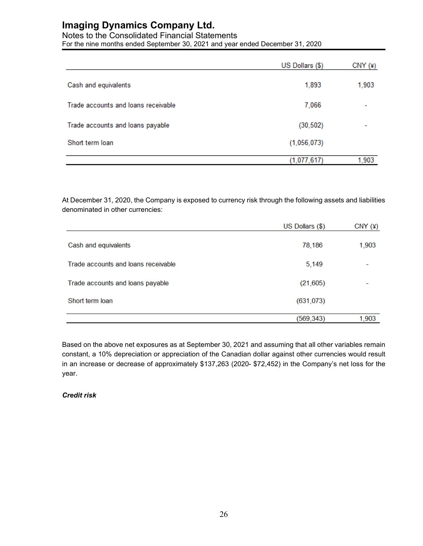#### Notes to the Consolidated Financial Statements

For the nine months ended September 30, 2021 and year ended December 31, 2020

|                                     | US Dollars (\$) | CNY(4) |
|-------------------------------------|-----------------|--------|
| Cash and equivalents                | 1,893           | 1,903  |
| Trade accounts and loans receivable | 7,066           | ٠      |
| Trade accounts and loans payable    | (30, 502)       |        |
| Short term loan                     | (1,056,073)     |        |
|                                     | (1,077,617)     | 1,903  |

At December 31, 2020, the Company is exposed to currency risk through the following assets and liabilities denominated in other currencies:

|                                     | US Dollars (\$) | CNY(4) |
|-------------------------------------|-----------------|--------|
| Cash and equivalents                | 78,186          | 1,903  |
| Trade accounts and loans receivable | 5,149           |        |
| Trade accounts and loans payable    | (21, 605)       |        |
| Short term loan                     | (631, 073)      |        |
|                                     | (569, 343)      | 1,903  |

Based on the above net exposures as at September 30, 2021 and assuming that all other variables remain constant, a 10% depreciation or appreciation of the Canadian dollar against other currencies would result in an increase or decrease of approximately \$137,263 (2020- \$72,452) in the Company's net loss for the year.

#### *Credit risk*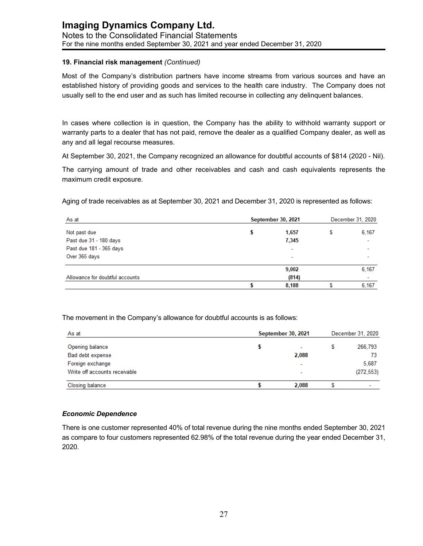#### **19. Financial risk management** *(Continued)*

Most of the Company's distribution partners have income streams from various sources and have an established history of providing goods and services to the health care industry. The Company does not usually sell to the end user and as such has limited recourse in collecting any delinquent balances.

In cases where collection is in question, the Company has the ability to withhold warranty support or warranty parts to a dealer that has not paid, remove the dealer as a qualified Company dealer, as well as any and all legal recourse measures.

At September 30, 2021, the Company recognized an allowance for doubtful accounts of \$814 (2020 - Nil).

The carrying amount of trade and other receivables and cash and cash equivalents represents the maximum credit exposure.

Aging of trade receivables as at September 30, 2021 and December 31, 2020 is represented as follows:

| As at                           | September 30, 2021 |   |       |
|---------------------------------|--------------------|---|-------|
| Not past due                    | 1.657              | S | 6,167 |
| Past due 31 - 180 days          | 7,345              |   | ٠     |
| Past due 181 - 365 days         | ۰                  |   | ۰     |
| Over 365 days                   | ۰                  |   | ٠     |
|                                 | 9,002              |   | 6,167 |
| Allowance for doubtful accounts | (814)              |   | ۰     |
|                                 | 8.188              |   | 6,167 |

The movement in the Company's allowance for doubtful accounts is as follows:

| As at                         | September 30, 2021 |  |            |
|-------------------------------|--------------------|--|------------|
| Opening balance               |                    |  | 266,793    |
| Bad debt expense              | 2,088              |  | 73         |
| Foreign exchange              | ۰                  |  | 5.687      |
| Write off accounts receivable | ۰                  |  | (272, 553) |
| <b>Closing balance</b>        | 2.088              |  | ٠          |

#### *Economic Dependence*

There is one customer represented 40% of total revenue during the nine months ended September 30, 2021 as compare to four customers represented 62.98% of the total revenue during the year ended December 31, 2020.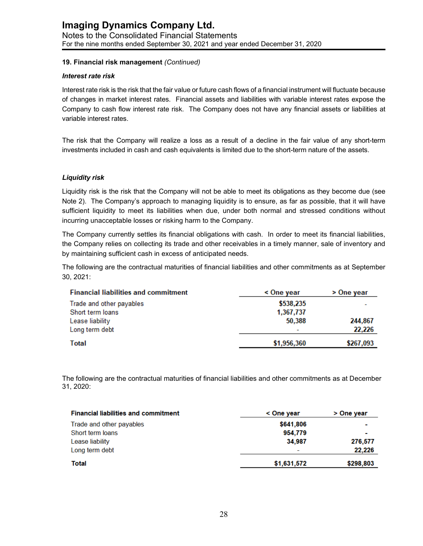#### **19. Financial risk management** *(Continued)*

#### *Interest rate risk*

Interest rate risk is the risk that the fair value or future cash flows of a financial instrument will fluctuate because of changes in market interest rates. Financial assets and liabilities with variable interest rates expose the Company to cash flow interest rate risk. The Company does not have any financial assets or liabilities at variable interest rates.

The risk that the Company will realize a loss as a result of a decline in the fair value of any short-term investments included in cash and cash equivalents is limited due to the short-term nature of the assets.

#### *Liquidity risk*

Liquidity risk is the risk that the Company will not be able to meet its obligations as they become due (see Note 2). The Company's approach to managing liquidity is to ensure, as far as possible, that it will have sufficient liquidity to meet its liabilities when due, under both normal and stressed conditions without incurring unacceptable losses or risking harm to the Company.

The Company currently settles its financial obligations with cash. In order to meet its financial liabilities, the Company relies on collecting its trade and other receivables in a timely manner, sale of inventory and by maintaining sufficient cash in excess of anticipated needs.

The following are the contractual maturities of financial liabilities and other commitments as at September 30, 2021:

| <b>Financial liabilities and commitment</b> | < One year               | > One year |
|---------------------------------------------|--------------------------|------------|
| Trade and other payables                    | \$538,235                |            |
| Short term loans                            | 1,367,737                |            |
| Lease liability                             | 50,388                   | 244,867    |
| Long term debt                              | $\overline{\phantom{a}}$ | 22,226     |
| Total                                       | \$1,956,360              | \$267,093  |

The following are the contractual maturities of financial liabilities and other commitments as at December 31, 2020:

| <b>Financial liabilities and commitment</b> | < One year               | > One year |
|---------------------------------------------|--------------------------|------------|
| Trade and other payables                    | \$641,806                |            |
| Short term loans                            | 954,779                  |            |
| Lease liability                             | 34,987                   | 276,577    |
| Long term debt                              | $\overline{\phantom{a}}$ | 22,226     |
| Total                                       | \$1,631,572              | \$298,803  |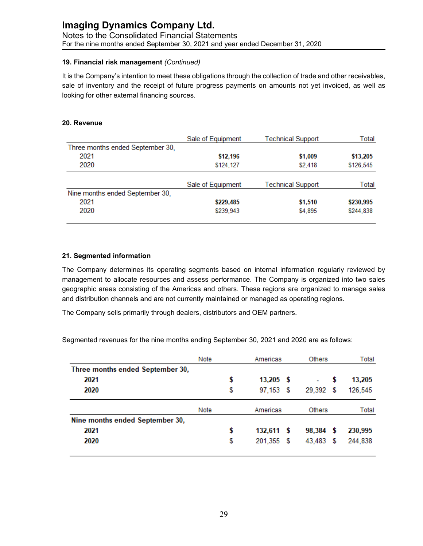#### **19. Financial risk management** *(Continued)*

It is the Company's intention to meet these obligations through the collection of trade and other receivables, sale of inventory and the receipt of future progress payments on amounts not yet invoiced, as well as looking for other external financing sources.

#### **20. Revenue**

|                                  | Sale of Equipment | <b>Technical Support</b> | Total     |  |
|----------------------------------|-------------------|--------------------------|-----------|--|
| Three months ended September 30, |                   |                          |           |  |
| 2021                             | \$12,196          | \$1,009                  | \$13,205  |  |
| 2020                             | \$124,127         | \$2,418                  | \$126,545 |  |
|                                  | Sale of Equipment | <b>Technical Support</b> | Total     |  |
| Nine months ended September 30,  |                   |                          |           |  |
| 2021                             | \$229,485         | \$1,510                  | \$230,995 |  |
| 2020                             | \$239,943         | \$4,895                  | \$244,838 |  |

#### **21. Segmented information**

The Company determines its operating segments based on internal information regularly reviewed by management to allocate resources and assess performance. The Company is organized into two sales geographic areas consisting of the Americas and others. These regions are organized to manage sales and distribution channels and are not currently maintained or managed as operating regions.

The Company sells primarily through dealers, distributors and OEM partners.

Segmented revenues for the nine months ending September 30, 2021 and 2020 are as follows:

|                                  | Note |    | Americas     | Others        |   | Total   |
|----------------------------------|------|----|--------------|---------------|---|---------|
| Three months ended September 30, |      |    |              |               |   |         |
| 2021                             |      |    | $13,205$ \$  | ٠             | S | 13,205  |
| 2020                             |      | \$ | 97,153 \$    | 29,392        | S | 126,545 |
|                                  | Note |    | Americas     | <b>Others</b> |   | Total   |
| Nine months ended September 30,  |      |    |              |               |   |         |
| 2021                             |      | S  | $132,611$ \$ | 98,384        | S | 230,995 |
| 2020                             |      | \$ | 201,355 \$   | 43,483        | S | 244,838 |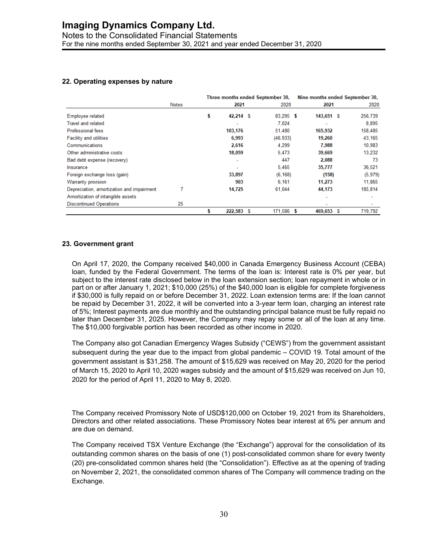Notes to the Consolidated Financial Statements For the nine months ended September 30, 2021 and year ended December 31, 2020

#### **22. Operating expenses by nature**

|                                           | Notes | Three months ended September 30, |                          |   | Nine months ended September 30, |              |      |                          |
|-------------------------------------------|-------|----------------------------------|--------------------------|---|---------------------------------|--------------|------|--------------------------|
|                                           |       |                                  | 2021                     |   | 2020                            | 2021         |      | 2020                     |
| <b>Employee related</b>                   |       | \$                               | 42,214 \$                |   | $83,295$ \$                     | 143,651 \$   |      | 256,739                  |
| <b>Travel and related</b>                 |       |                                  | $\overline{\phantom{a}}$ |   | 7.024                           |              |      | 8.895                    |
| Professional fees                         |       |                                  | 103,176                  |   | 51,480                          | 165,932      |      | 158,485                  |
| <b>Facility and utilities</b>             |       |                                  | 6,993                    |   | (46, 933)                       | 19,260       |      | 43,165                   |
| Communications                            |       |                                  | 2,616                    |   | 4.299                           | 7.988        |      | 10.983                   |
| Other administrative costs                |       |                                  | 18,059                   |   | 5.473                           | 39,669       |      | 13.232                   |
| Bad debt expense (recovery)               |       |                                  | ٠                        |   | 447                             | 2,088        |      | 73                       |
| Insurance                                 |       |                                  | ٠                        |   | 5.465                           | 35,777       |      | 36,521                   |
| Foreign exchange loss (gain)              |       |                                  | 33,897                   |   | (6, 168)                        | (158)        |      | (5, 979)                 |
| Warranty provision                        |       |                                  | 903                      |   | 6.161                           | 11,273       |      | 11.865                   |
| Depreciation, amortization and impairment |       |                                  | 14,725                   |   | 61,044                          | 44,173       |      | 185,814                  |
| Amortization of intangible assets         |       |                                  |                          |   |                                 |              |      | $\overline{\phantom{a}}$ |
| <b>Discontinued Operations</b>            | 25    |                                  |                          |   |                                 |              |      | ٠                        |
|                                           |       |                                  | 222,583                  | S | 171.586                         | 469,653<br>s | - \$ | 719.792                  |

#### **23. Government grant**

On April 17, 2020, the Company received \$40,000 in Canada Emergency Business Account (CEBA) loan, funded by the Federal Government. The terms of the loan is: Interest rate is 0% per year, but subject to the interest rate disclosed below in the loan extension section; loan repayment in whole or in part on or after January 1, 2021; \$10,000 (25%) of the \$40,000 loan is eligible for complete forgiveness if \$30,000 is fully repaid on or before December 31, 2022. Loan extension terms are: If the loan cannot be repaid by December 31, 2022, it will be converted into a 3-year term loan, charging an interest rate of 5%; Interest payments are due monthly and the outstanding principal balance must be fully repaid no later than December 31, 2025. However, the Company may repay some or all of the loan at any time. The \$10,000 forgivable portion has been recorded as other income in 2020.

The Company also got Canadian Emergency Wages Subsidy ("CEWS") from the government assistant subsequent during the year due to the impact from global pandemic – COVID 19. Total amount of the government assistant is \$31,258. The amount of \$15,629 was received on May 20, 2020 for the period of March 15, 2020 to April 10, 2020 wages subsidy and the amount of \$15,629 was received on Jun 10, 2020 for the period of April 11, 2020 to May 8, 2020.

The Company received Promissory Note of USD\$120,000 on October 19, 2021 from its Shareholders, Directors and other related associations. These Promissory Notes bear interest at 6% per annum and are due on demand.

The Company received TSX Venture Exchange (the "Exchange") approval for the consolidation of its outstanding common shares on the basis of one (1) post-consolidated common share for every twenty (20) pre-consolidated common shares held (the "Consolidation"). Effective as at the opening of trading on November 2, 2021, the consolidated common shares of The Company will commence trading on the Exchange.